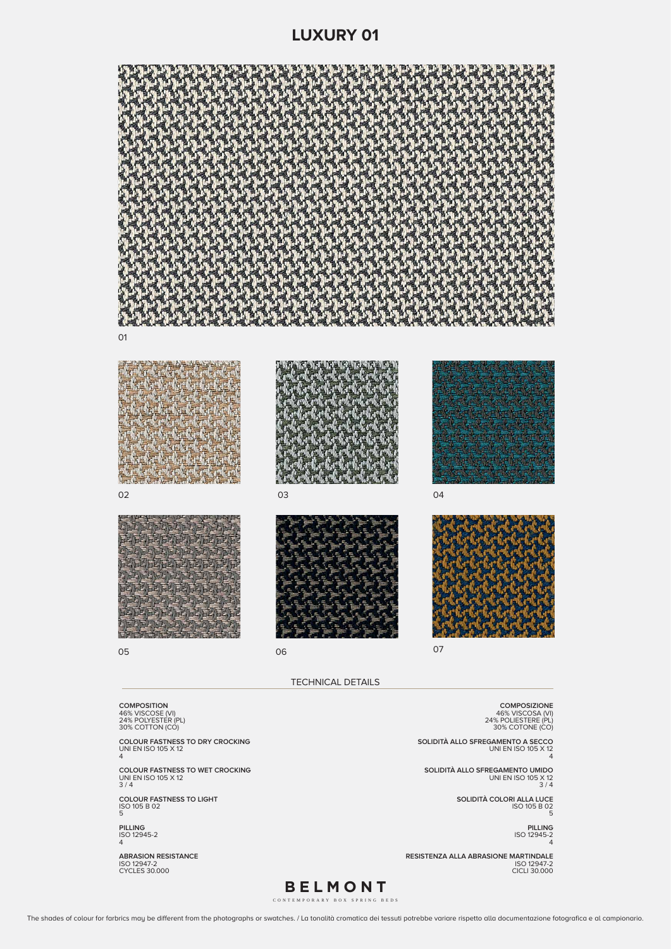TECHNICAL DETAILS

| 24% POLYESTER (PL)                                                 | 24% POLIESTERE (PL)                                      |
|--------------------------------------------------------------------|----------------------------------------------------------|
| 30% COTTON (CO)                                                    | 30% COTONE (CO)                                          |
| <b>COLOUR FASTNESS TO DRY CROCKING</b><br>UNI EN ISO 105 X 12<br>4 | SOLIDITÀ ALLO SFREGAMENTO A SECCO<br>UNI EN ISO 105 X 12 |
| <b>COLOUR FASTNESS TO WET CROCKING</b>                             | SOLIDITÀ ALLO SFREGAMENTO UMIDO                          |
| UNI EN ISO 105 X 12                                                | UNI EN ISO 105 X 12                                      |
| 3/4                                                                | 3/4                                                      |
| <b>COLOUR FASTNESS TO LIGHT</b><br>ISO 105 B 02<br>5               | SOLIDITÀ COLORI ALLA LUCE<br>ISO 105 B 02                |
| <b>PILLING</b><br>ISO 12945-2<br>4                                 | <b>PILLING</b><br>ISO 12945-2                            |
| <b>ABRASION RESISTANCE</b>                                         | <b>RESISTENZA ALLA ABRASIONE MARTINDALE</b>              |
| ISO 12947-2                                                        | ISO 12947-2                                              |
| <b>CYCLES 30.000</b>                                               | <b>CICLI 30,000</b>                                      |











06







07

**BELMONT**

CONTEMPORARY BOX SPRING BEDS

The shades of colour for farbrics may be different from the photographs or swatches. / La tonalità cromatica dei tessuti potrebbe variare rispetto alla documentazione fotografica e al campionario.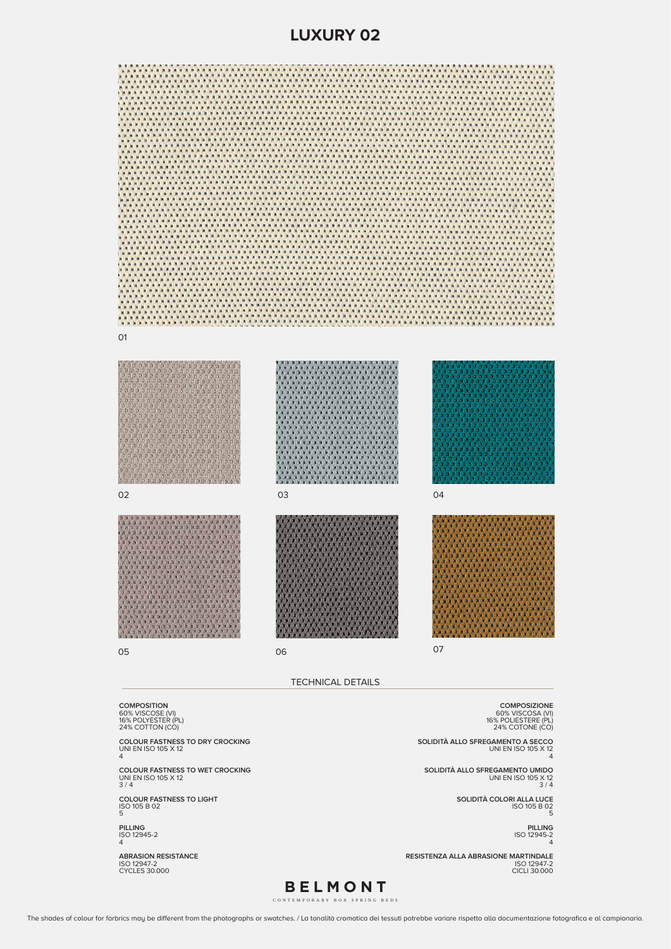TECHNICAL DETAILS

| 16% POLYESTER (PL)<br>24% COTTON (CO)                                | 16% POLIESTERE (PL)<br>24% COTONE (CO)                                            |
|----------------------------------------------------------------------|-----------------------------------------------------------------------------------|
| <b>COLOUR FASTNESS TO DRY CROCKING</b><br>UNI EN ISO 105 X 12<br>4   | SOLIDITÀ ALLO SFREGAMENTO A SECCO<br>UNI EN ISO 105 X 12                          |
| <b>COLOUR FASTNESS TO WET CROCKING</b><br>UNI EN ISO 105 X 12<br>3/4 | SOLIDITÀ ALLO SFREGAMENTO UMIDO<br>UNI EN ISO 105 X 12<br>3/4                     |
| <b>COLOUR FASTNESS TO LIGHT</b><br>ISO 105 B 02<br>5                 | SOLIDITÀ COLORI ALLA LUCE<br>ISO 105 B 02                                         |
| <b>PILLING</b><br>ISO 12945-2<br>4                                   | <b>PILLING</b><br>ISO 12945-2                                                     |
| <b>ABRASION RESISTANCE</b><br>ISO 12947-2<br><b>CYCLES 30.000</b>    | <b>RESISTENZA ALLA ABRASIONE MARTINDALE</b><br>ISO 12947-2<br><b>CICLI 30,000</b> |
|                                                                      |                                                                                   |

01















06

04



07

## **LUXURY 02**



**BELMONT**

CONTEMPORARY BOX SPRING BEDS

The shades of colour for farbrics may be different from the photographs or swatches. / La tonalità cromatica dei tessuti potrebbe variare rispetto alla documentazione fotografica e al campionario.